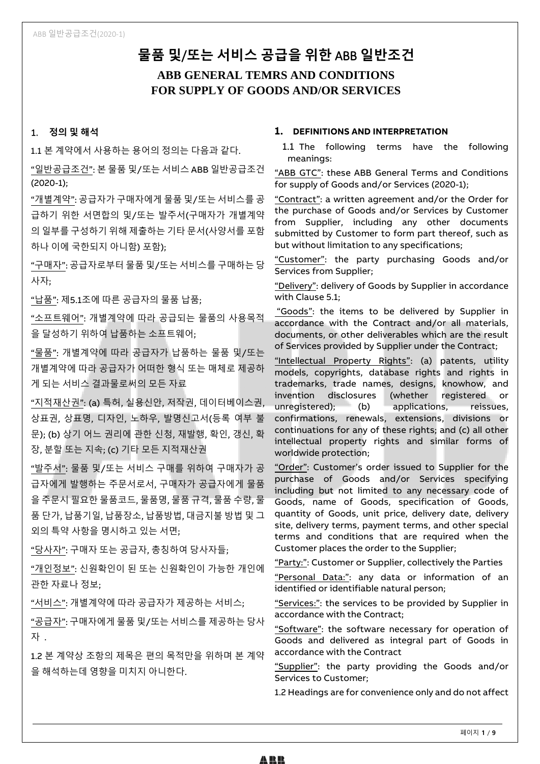# **물품 및**/**또는 서비스 공급을 위한** ABB **일반조건 ABB GENERAL TEMRS AND CONDITIONS FOR SUPPLY OF GOODS AND/OR SERVICES**

# 1. **정의 및 해석**

1.1 본 계약에서 사용하는 용어의 정의는 다음과 같다.

"일반공급조건": 본 물품 및/또는 서비스 ABB 일반공급조건 (2020-1);

"개별계약": 공급자가 구매자에게 물품 및/또는 서비스를 공 급하기 위한 서면합의 및/또는 발주서(구매자가 개별계약 의 일부를 구성하기 위해 제출하는 기타 문서(사양서를 포함 하나 이에 국한되지 아니함) 포함);

"구매자": 공급자로부터 물품 및/또는 서비스를 구매하는 당 사자;

"납품": 제5.1조에 따른 공급자의 물품 납품;

"소프트웨어": 개별계약에 따라 공급되는 물품의 사용목적 을 달성하기 위하여 납품하는 소프트웨어;

"물품": 개별계약에 따라 공급자가 납품하는 물품 및/또는 개별계약에 따라 공급자가 어떠한 형식 또는 매체로 제공하 게 되는 서비스 결과물로써의 모든 자료

"지적재산권": (a) 특허, 실용신안, 저작권, 데이터베이스권, 상표권, 상표명, 디자인, 노하우, 발명신고서(등록 여부 불 문); (b) 상기 어느 권리에 관한 신청, 재발행, 확인, 갱신, 확 장, 분할 또는 지속; (c) 기타 모든 지적재산권

"발주서": 물품 및/또는 서비스 구매를 위하여 구매자가 공 급자에게 발행하는 주문서로서, 구매자가 공급자에게 물품 을 주문시 필요한 물품코드, 물품명, 물품 규격, 물품 수량, 물 품 단가, 납품기일, 납품장소, 납품방법, 대금지불 방법 및 그 외의 특약 사항을 명시하고 있는 서면;

"당사자": 구매자 또는 공급자, 총칭하여 당사자들;

"개인정보": 신원확인이 된 또는 신원확인이 가능한 개인에 관한 자료나 정보;

"서비스": 개별계약에 따라 공급자가 제공하는 서비스;

"공급자": 구매자에게 물품 및/또는 서비스를 제공하는 당사 자 .

1.2 본 계약상 조항의 제목은 편의 목적만을 위하며 본 계약 을 해석하는데 영향을 미치지 아니한다.

# **1. DEFINITIONS AND INTERPRETATION**

1.1 The following terms have the following meanings:

"ABB GTC": these ABB General Terms and Conditions for supply of Goods and/or Services (2020-1);

"Contract": a written agreement and/or the Order for the purchase of Goods and/or Services by Customer from Supplier, including any other documents submitted by Customer to form part thereof, such as but without limitation to any specifications;

"Customer": the party purchasing Goods and/or Services from Supplier;

"Delivery": delivery of Goods by Supplier in accordance with Clause 5.1;

"Goods": the items to be delivered by Supplier in accordance with the Contract and/or all materials, documents, or other deliverables which are the result of Services provided by Supplier under the Contract;

"Intellectual Property Rights": (a) patents, utility models, copyrights, database rights and rights in trademarks, trade names, designs, knowhow, and invention disclosures (whether registered or unregistered); (b) applications, reissues, confirmations, renewals, extensions, divisions or continuations for any of these rights; and (c) all other intellectual property rights and similar forms of worldwide protection;

"Order": Customer's order issued to Supplier for the purchase of Goods and/or Services specifying including but not limited to any necessary code of Goods, name of Goods, specification of Goods, quantity of Goods, unit price, delivery date, delivery site, delivery terms, payment terms, and other special terms and conditions that are required when the Customer places the order to the Supplier;

"Party:": Customer or Supplier, collectively the Parties

"Personal Data:": any data or information of an identified or identifiable natural person;

"Services:": the services to be provided by Supplier in accordance with the Contract;

"Software": the software necessary for operation of Goods and delivered as integral part of Goods in accordance with the Contract

"Supplier": the party providing the Goods and/or Services to Customer;

1.2 Headings are for convenience only and do not affect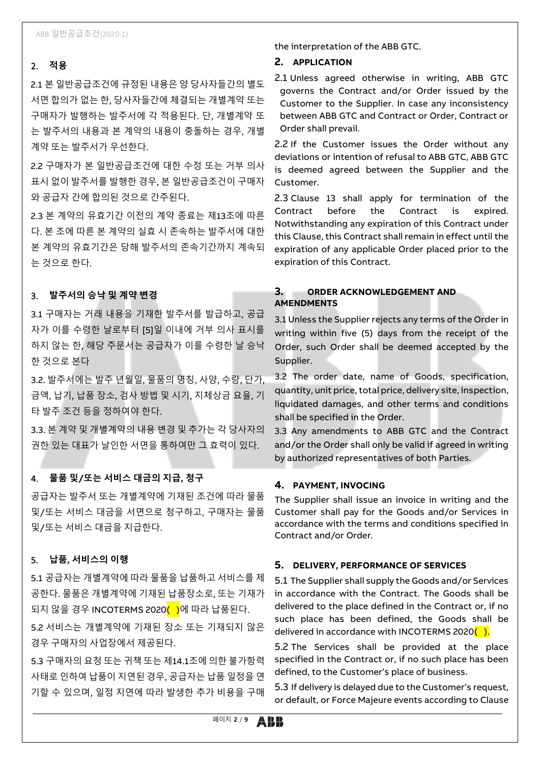# 2. **적용**

2.1 본 일반공급조건에 규정된 내용은 양 당사자들간의 별도 서면 합의가 없는 한, 당사자들간에 체결되는 개별계약 또는 구매자가 발행하는 발주서에 각 적용된다. 단, 개별계약 또 는 발주서의 내용과 본 계약의 내용이 충돌하는 경우, 개별 계약 또는 발주서가 우선한다.

2.2 구매자가 본 일반공급조건에 대한 수정 또는 거부 의사 표시 없이 발주서를 발행한 경우, 본 일반공급조건이 구매자 와 공급자 간에 합의된 것으로 간주된다.

2.3 본 계약의 유효기간 이전의 계약 종료는 제13조에 따른 다. 본 조에 따른 본 계약의 실효 시 존속하는 발주서에 대한 본 계약의 유효기간은 당해 발주서의 존속기간까지 계속되 는 것으로 한다.

# 3. **발주서의 승낙 및 계약 변경**

3.1 구매자는 거래 내용을 기재한 발주서를 발급하고, 공급 자가 이를 수령한 날로부터 [5]일 이내에 거부 의사 표시를 하지 않는 한, 해당 주문서는 공급자가 이를 수령한 날 승낙 한 것으로 본다

3.2. 발주서에는 발주 년월일, 물품의 명칭, 사양, 수량, 단가, 금액, 납기, 납품 장소, 검사 방법 및 시기, 지체상금 요율, 기 타 발주 조건 등을 정하여야 한다.

3.3. 본 계약 및 개별계약의 내용 변경 및 추가는 각 당사자의 권한 있는 대표가 날인한 서면을 통하여만 그 효력이 있다.

# 4. **물품 및/또는 서비스 대금의 지급, 청구**

공급자는 발주서 또는 개별계약에 기재된 조건에 따라 물품 및/또는 서비스 대금을 서면으로 청구하고, 구매자는 물품 및/또는 서비스 대금을 지급한다.

# 5. **납품, 서비스의 이행**

5.1 공급자는 개별계약에 따라 물품을 납품하고 서비스를 제 공한다. 물품은 개별계약에 기재된 납품장소로, 또는 기재가 되지 않을 경우 INCOTERMS 2020<mark>( )</mark>에 따라 납품된다.

5.2 서비스는 개별계약에 기재된 장소 또는 기재되지 않은 경우 구매자의 사업장에서 제공된다.

5.3 구매자의 요청 또는 귀책 또는 제14.1조에 의한 불가항력 사태로 인하여 납품이 지연된 경우, 공급자는 납품 일정을 연 기할 수 있으며, 일정 지연에 따라 발생한 추가 비용을 구매 the interpretation of the ABB GTC.

#### **2. APPLICATION**

2.1 Unless agreed otherwise in writing, ABB GTC governs the Contract and/or Order issued by the Customer to the Supplier. In case any inconsistency between ABB GTC and Contract or Order, Contract or Order shall prevail.

2.2 If the Customer issues the Order without any deviations or intention of refusal to ABB GTC, ABB GTC is deemed agreed between the Supplier and the Customer.

2.3 Clause 13 shall apply for termination of the Contract before the Contract is expired. Notwithstanding any expiration of this Contract under this Clause, this Contract shall remain in effect until the expiration of any applicable Order placed prior to the expiration of this Contract.

# **3. ORDER ACKNOWLEDGEMENT AND AMENDMENTS**

3.1 Unless the Supplier rejects any terms of the Order in writing within five (5) days from the receipt of the Order, such Order shall be deemed accepted by the Supplier.

3.2 The order date, name of Goods, specification, quantity, unit price, total price, delivery site, inspection, liquidated damages, and other terms and conditions shall be specified in the Order.

3.3 Any amendments to ABB GTC and the Contract and/or the Order shall only be valid if agreed in writing by authorized representatives of both Parties.

#### **4. PAYMENT, INVOCING**

The Supplier shall issue an invoice in writing and the Customer shall pay for the Goods and/or Services in accordance with the terms and conditions specified in Contract and/or Order.

#### **5. DELIVERY, PERFORMANCE OF SERVICES**

5.1 The Supplier shall supply the Goods and/or Services in accordance with the Contract. The Goods shall be delivered to the place defined in the Contract or, if no such place has been defined, the Goods shall be delivered in accordance with INCOTERMS 2020 $($ ).

5.2 The Services shall be provided at the place specified in the Contract or, if no such place has been defined, to the Customer's place of business.

5.3 If delivery is delayed due to the Customer's request, or default, or Force Majeure events according to Clause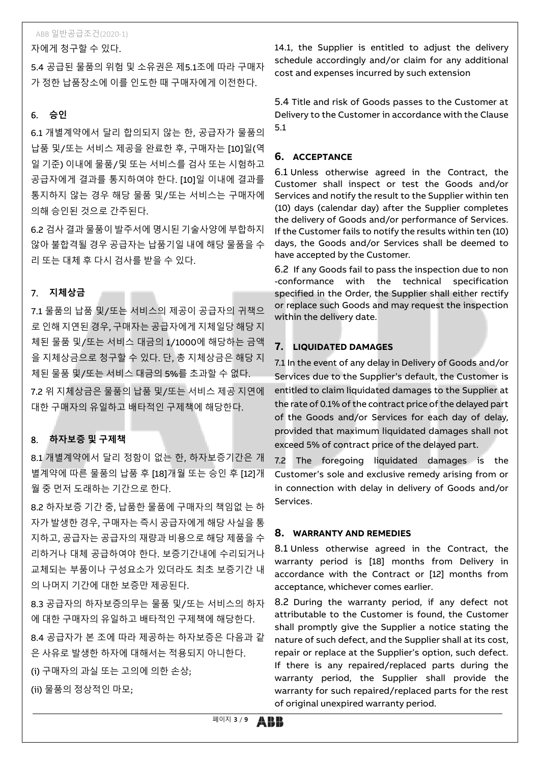자에게 청구할 수 있다.

5.4 공급된 물품의 위험 및 소유권은 제5.1조에 따라 구매자 가 정한 납품장소에 이를 인도한 때 구매자에게 이전한다.

# 6. **승인**

6.1 개별계약에서 달리 합의되지 않는 한, 공급자가 물품의 납품 및/또는 서비스 제공을 완료한 후, 구매자는 [10]일(역 일 기준) 이내에 물품/및 또는 서비스를 검사 또는 시험하고 공급자에게 결과를 통지하여야 한다. [10]일 이내에 결과를 통지하지 않는 경우 해당 물품 및/또는 서비스는 구매자에 의해 승인된 것으로 간주된다.

6.2 검사 결과 물품이 발주서에 명시된 기술사양에 부합하지 않아 불합격될 경우 공급자는 납품기일 내에 해당 물품을 수 리 또는 대체 후 다시 검사를 받을 수 있다.

# 7. **지체상금**

7.1 물품의 납품 및/또는 서비스의 제공이 공급자의 귀책으 로 인해 지연된 경우, 구매자는 공급자에게 지체일당 해당 지 체된 물품 및/또는 서비스 대금의 1/1000에 해당하는 금액 을 지체상금으로 청구할 수 있다. 단, 총 지체상금은 해당 지 체된 물품 및/또는 서비스 대금의 5%를 초과할 수 없다.

7.2 위 지체상금은 물품의 납품 및/또는 서비스 제공 지연에 대한 구매자의 유일하고 배타적인 구제책에 해당한다.

# 8. **하자보증 및 구제책**

8.1 개별계약에서 달리 정함이 없는 한, 하자보증기간은 개 별계약에 따른 물품의 납품 후 [18]개월 또는 승인 후 [12]개 월 중 먼저 도래하는 기간으로 한다.

8.2 하자보증 기간 중, 납품한 물품에 구매자의 책임없 는 하 자가 발생한 경우, 구매자는 즉시 공급자에게 해당 사실을 통 지하고, 공급자는 공급자의 재량과 비용으로 해당 제품을 수 리하거나 대체 공급하여야 한다. 보증기간내에 수리되거나 교체되는 부품이나 구성요소가 있더라도 최초 보증기간 내 의 나머지 기간에 대한 보증만 제공된다.

8.3 공급자의 하자보증의무는 물품 및/또는 서비스의 하자 에 대한 구매자의 유일하고 배타적인 구제책에 해당한다.

8.4 공급자가 본 조에 따라 제공하는 하자보증은 다음과 같 은 사유로 발생한 하자에 대해서는 적용되지 아니한다.

(i) 구매자의 과실 또는 고의에 의한 손상;

(ii) 물품의 정상적인 마모;

14.1, the Supplier is entitled to adjust the delivery schedule accordingly and/or claim for any additional cost and expenses incurred by such extension

5.4 Title and risk of Goods passes to the Customer at Delivery to the Customer in accordance with the Clause 5.1

### **6. ACCEPTANCE**

6.1 Unless otherwise agreed in the Contract, the Customer shall inspect or test the Goods and/or Services and notify the result to the Supplier within ten (10) days (calendar day) after the Supplier completes the delivery of Goods and/or performance of Services. If the Customer fails to notify the results within ten (10) days, the Goods and/or Services shall be deemed to have accepted by the Customer.

6.2 If any Goods fail to pass the inspection due to non -conformance with the technical specification specified in the Order, the Supplier shall either rectify or replace such Goods and may request the inspection within the delivery date.

# **7. LIQUIDATED DAMAGES**

7.1 In the event of any delay in Delivery of Goods and/or Services due to the Supplier's default, the Customer is entitled to claim liquidated damages to the Supplier at the rate of 0.1% of the contract price of the delayed part of the Goods and/or Services for each day of delay, provided that maximum liquidated damages shall not exceed 5% of contract price of the delayed part.

7.2 The foregoing liquidated damages is the Customer's sole and exclusive remedy arising from or in connection with delay in delivery of Goods and/or Services.

# **8. WARRANTY AND REMEDIES**

8.1 Unless otherwise agreed in the Contract, the warranty period is [18] months from Delivery in accordance with the Contract or [12] months from acceptance, whichever comes earlier.

8.2 During the warranty period, if any defect not attributable to the Customer is found, the Customer shall promptly give the Supplier a notice stating the nature of such defect, and the Supplier shall at its cost, repair or replace at the Supplier's option, such defect. If there is any repaired/replaced parts during the warranty period, the Supplier shall provide the warranty for such repaired/replaced parts for the rest of original unexpired warranty period.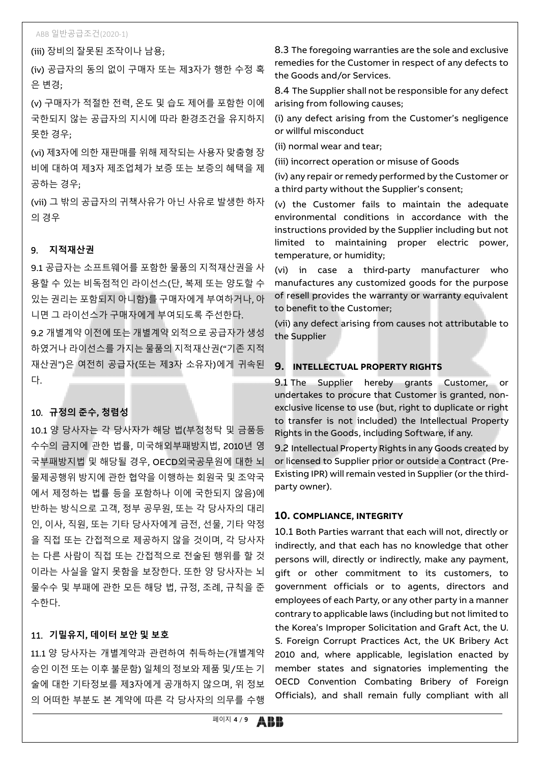(iii) 장비의 잘못된 조작이나 남용;

(iv) 공급자의 동의 없이 구매자 또는 제3자가 행한 수정 혹 은 변경;

(v) 구매자가 적절한 전력, 온도 및 습도 제어를 포함한 이에 국한되지 않는 공급자의 지시에 따라 환경조건을 유지하지 못한 경우;

(vi) 제3자에 의한 재판매를 위해 제작되는 사용자 맞춤형 장 비에 대하여 제3자 제조업체가 보증 또는 보증의 혜택을 제 공하는 경우;

(vii) 그 밖의 공급자의 귀책사유가 아닌 사유로 발생한 하자 의 경우

#### 9. **지적재산권**

9.1 공급자는 소프트웨어를 포함한 물품의 지적재산권을 사 용할 수 있는 비독점적인 라이선스(단, 복제 또는 양도할 수 있는 권리는 포함되지 아니함)를 구매자에게 부여하거나, 아 니면 그 라이선스가 구매자에게 부여되도록 주선한다.

9.2 개별계약 이전에 또는 개별계약 외적으로 공급자가 생성 하였거나 라이선스를 가지는 물품의 지적재산권("기존 지적 재산권")은 여전히 공급자(또는 제3자 소유자)에게 귀속된 다.

# 10. **규정의 준수, 청렴성**

10.1 양 당사자는 각 당사자가 해당 법(부정청탁 및 금품등 수수의 금지에 관한 법률, 미국해외부패방지법, 2010년 영 국부패방지법 및 해당될 경우, OECD외국공무원에 대한 뇌 물제공행위 방지에 관한 협약을 이행하는 회원국 및 조약국 에서 제정하는 법률 등을 포함하나 이에 국한되지 않음)에 반하는 방식으로 고객, 정부 공무원, 또는 각 당사자의 대리 인, 이사, 직원, 또는 기타 당사자에게 금전, 선물, 기타 약정 을 직접 또는 간접적으로 제공하지 않을 것이며, 각 당사자 는 다른 사람이 직접 또는 간접적으로 전술된 행위를 할 것 이라는 사실을 알지 못함을 보장한다. 또한 양 당사자는 뇌 물수수 및 부패에 관한 모든 해당 법, 규정, 조례, 규칙을 준 수한다.

### 11. **기밀유지, 데이터 보안 및 보호**

11.1 양 당사자는 개별계약과 관련하여 취득하는(개별계약 승인 이전 또는 이후 불문함) 일체의 정보와 제품 및/또는 기 술에 대한 기타정보를 제3자에게 공개하지 않으며, 위 정보 의 어떠한 부분도 본 계약에 따른 각 당사자의 의무를 수행

8.3 The foregoing warranties are the sole and exclusive remedies for the Customer in respect of any defects to the Goods and/or Services.

8.4 The Supplier shall not be responsible for any defect arising from following causes;

(i) any defect arising from the Customer's negligence or willful misconduct

(ii) normal wear and tear;

(iii) incorrect operation or misuse of Goods

(iv) any repair or remedy performed by the Customer or a third party without the Supplier's consent;

(v) the Customer fails to maintain the adequate environmental conditions in accordance with the instructions provided by the Supplier including but not limited to maintaining proper electric power, temperature, or humidity;

(vi) in case a third-party manufacturer who manufactures any customized goods for the purpose of resell provides the warranty or warranty equivalent to benefit to the Customer;

(vii) any defect arising from causes not attributable to the Supplier

#### **9. INTELLECTUAL PROPERTY RIGHTS**

9.1 The Supplier hereby grants Customer, or undertakes to procure that Customer is granted, nonexclusive license to use (but, right to duplicate or right to transfer is not included) the Intellectual Property Rights in the Goods, including Software, if any.

9.2 Intellectual Property Rights in any Goods created by or licensed to Supplier prior or outside a Contract (Pre-Existing IPR) will remain vested in Supplier (or the thirdparty owner).

# **10. COMPLIANCE, INTEGRITY**

10.1 Both Parties warrant that each will not, directly or indirectly, and that each has no knowledge that other persons will, directly or indirectly, make any payment, gift or other commitment to its customers, to government officials or to agents, directors and employees of each Party, or any other party in a manner contrary to applicable laws (including but not limited to the Korea's Improper Solicitation and Graft Act, the U. S. Foreign Corrupt Practices Act, the UK Bribery Act 2010 and, where applicable, legislation enacted by member states and signatories implementing the OECD Convention Combating Bribery of Foreign Officials), and shall remain fully compliant with all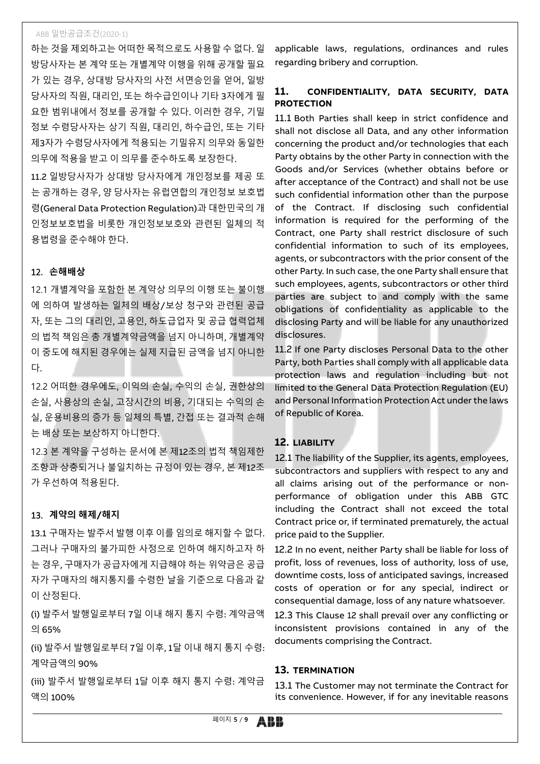하는 것을 제외하고는 어떠한 목적으로도 사용할 수 없다. 일 방당사자는 본 계약 또는 개별계약 이행을 위해 공개할 필요 가 있는 경우, 상대방 당사자의 사전 서면승인을 얻어, 일방 당사자의 직원, 대리인, 또는 하수급인이나 기타 3자에게 필 요한 범위내에서 정보를 공개할 수 있다. 이러한 경우, 기밀 정보 수령당사자는 상기 직원, 대리인, 하수급인, 또는 기타 제3자가 수령당사자에게 적용되는 기밀유지 의무와 동일한 의무에 적용을 받고 이 의무를 준수하도록 보장한다.

11.2 일방당사자가 상대방 당사자에게 개인정보를 제공 또 는 공개하는 경우, 양 당사자는 유럽연합의 개인정보 보호법 령(General Data Protection Regulation)과 대한민국의 개 인정보보호법을 비롯한 개인정보보호와 관련된 일체의 적 용법령을 준수해야 한다.

# 12. **손해배상**

12.1 개별계약을 포함한 본 계약상 의무의 이행 또는 불이행 에 의하여 발생하는 일체의 배상/보상 청구와 관련된 공급 자, 또는 그의 대리인, 고용인, 하도급업자 및 공급 협력업체 의 법적 책임은 총 개별계약금액을 넘지 아니하며, 개별계약 이 중도에 해지된 경우에는 실제 지급된 금액을 넘지 아니한 다.

12.2 어떠한 경우에도, 이익의 손실, 수익의 손실, 권한상의 손실, 사용상의 손실, 고장시간의 비용, 기대되는 수익의 손 실, 운용비용의 증가 등 일체의 특별, 간접 또는 결과적 손해 는 배상 또는 보상하지 아니한다.

12.3 본 계약을 구성하는 문서에 본 제12조의 법적 책임제한 조항과 상충되거나 불일치하는 규정이 있는 경우, 본 제12조 가 우선하여 적용된다.

# 13. **계약의 해제/해지**

13.1 구매자는 발주서 발행 이후 이를 임의로 해지할 수 없다. 그러나 구매자의 불가피한 사정으로 인하여 해지하고자 하 는 경우, 구매자가 공급자에게 지급해야 하는 위약금은 공급 자가 구매자의 해지통지를 수령한 날을 기준으로 다음과 같 이 산정된다.

(i) 발주서 발행일로부터 7일 이내 해지 통지 수령: 계약금액 의 65%

(ii) 발주서 발행일로부터 7일 이후, 1달 이내 해지 통지 수령: 계약금액의 90%

(iii) 발주서 발행일로부터 1달 이후 해지 통지 수령: 계약금 액의 100%

applicable laws, regulations, ordinances and rules regarding bribery and corruption.

# **11. CONFIDENTIALITY, DATA SECURITY, DATA PROTECTION**

11.1 Both Parties shall keep in strict confidence and shall not disclose all Data, and any other information concerning the product and/or technologies that each Party obtains by the other Party in connection with the Goods and/or Services (whether obtains before or after acceptance of the Contract) and shall not be use such confidential information other than the purpose of the Contract. If disclosing such confidential information is required for the performing of the Contract, one Party shall restrict disclosure of such confidential information to such of its employees, agents, or subcontractors with the prior consent of the other Party. In such case, the one Party shall ensure that such employees, agents, subcontractors or other third parties are subject to and comply with the same obligations of confidentiality as applicable to the disclosing Party and will be liable for any unauthorized disclosures.

11.2 If one Party discloses Personal Data to the other Party, both Parties shall comply with all applicable data protection laws and regulation including but not limited to the General Data Protection Regulation (EU) and Personal Information Protection Act under the laws of Republic of Korea.

# **12. LIABILITY**

12.1 The liability of the Supplier, its agents, employees, subcontractors and suppliers with respect to any and all claims arising out of the performance or nonperformance of obligation under this ABB GTC including the Contract shall not exceed the total Contract price or, if terminated prematurely, the actual price paid to the Supplier.

12.2 In no event, neither Party shall be liable for loss of profit, loss of revenues, loss of authority, loss of use, downtime costs, loss of anticipated savings, increased costs of operation or for any special, indirect or consequential damage, loss of any nature whatsoever.

12.3 This Clause 12 shall prevail over any conflicting or inconsistent provisions contained in any of the documents comprising the Contract.

# **13. TERMINATION**

13.1 The Customer may not terminate the Contract for its convenience. However, if for any inevitable reasons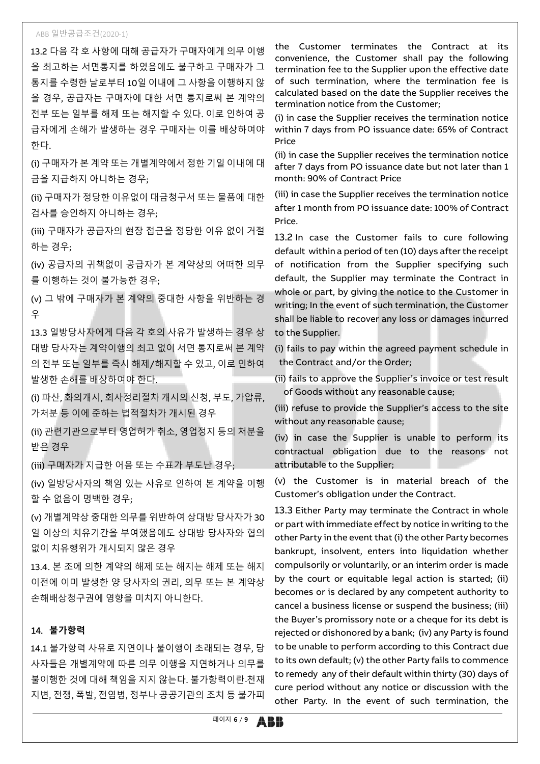13.2 다음 각 호 사항에 대해 공급자가 구매자에게 의무 이행 을 최고하는 서면통지를 하였음에도 불구하고 구매자가 그 통지를 수령한 날로부터 10일 이내에 그 사항을 이행하지 않 을 경우, 공급자는 구매자에 대한 서면 통지로써 본 계약의 전부 또는 일부를 해제 또는 해지할 수 있다. 이로 인하여 공 급자에게 손해가 발생하는 경우 구매자는 이를 배상하여야 한다.

(i) 구매자가 본 계약 또는 개별계약에서 정한 기일 이내에 대 금을 지급하지 아니하는 경우;

(ii) 구매자가 정당한 이유없이 대금청구서 또는 물품에 대한 검사를 승인하지 아니하는 경우;

(iii) 구매자가 공급자의 현장 접근을 정당한 이유 없이 거절 하는 경우;

(iv) 공급자의 귀책없이 공급자가 본 계약상의 어떠한 의무 를 이행하는 것이 불가능한 경우;

(v) 그 밖에 구매자가 본 계약의 중대한 사항을 위반하는 경 우

13.3 일방당사자에게 다음 각 호의 사유가 발생하는 경우 상 대방 당사자는 계약이행의 최고 없이 서면 통지로써 본 계약 의 전부 또는 일부를 즉시 해제/해지할 수 있고, 이로 인하여 발생한 손해를 배상하여야 한다.

(i) 파산, 화의개시, 회사정리절차 개시의 신청, 부도, 가압류, 가처분 등 이에 준하는 법적절차가 개시된 경우

(ii) 관련기관으로부터 영업허가 취소, 영업정지 등의 처분을 받은 경우

(iii) 구매자가 지급한 어음 또는 수표가 부도난 경우;

(iv) 일방당사자의 책임 있는 사유로 인하여 본 계약을 이행 할 수 없음이 명백한 경우;

(v) 개별계약상 중대한 의무를 위반하여 상대방 당사자가 30 일 이상의 치유기간을 부여했음에도 상대방 당사자와 협의 없이 치유행위가 개시되지 않은 경우

13.4. 본 조에 의한 계약의 해제 또는 해지는 해제 또는 해지 이전에 이미 발생한 양 당사자의 권리, 의무 또는 본 계약상 손해배상청구권에 영향을 미치지 아니한다.

#### 14. **불가항력**

14.1 불가항력 사유로 지연이나 불이행이 초래되는 경우, 당 사자들은 개별계약에 따른 의무 이행을 지연하거나 의무를 불이행한 것에 대해 책임을 지지 않는다. 불가항력이란 천재 지변, 전쟁, 폭발, 전염병, 정부나 공공기관의 조치 등 불가피 the Customer terminates the Contract at its convenience, the Customer shall pay the following termination fee to the Supplier upon the effective date of such termination, where the termination fee is calculated based on the date the Supplier receives the termination notice from the Customer;

(i) in case the Supplier receives the termination notice within 7 days from PO issuance date: 65% of Contract Price

(ii) in case the Supplier receives the termination notice after 7 days from PO issuance date but not later than 1 month: 90% of Contract Price

(iii) in case the Supplier receives the termination notice after 1 month from PO issuance date: 100% of Contract Price.

13.2 In case the Customer fails to cure following default within a period of ten (10) days after the receipt of notification from the Supplier specifying such default, the Supplier may terminate the Contract in whole or part, by giving the notice to the Customer in writing; In the event of such termination, the Customer shall be liable to recover any loss or damages incurred to the Supplier.

(i) fails to pay within the agreed payment schedule in the Contract and/or the Order;

(ii) fails to approve the Supplier's invoice or test result of Goods without any reasonable cause;

(iii) refuse to provide the Supplier's access to the site without any reasonable cause;

(iv) in case the Supplier is unable to perform its contractual obligation due to the reasons not attributable to the Supplier;

(v) the Customer is in material breach of the Customer's obligation under the Contract.

13.3 Either Party may terminate the Contract in whole or part with immediate effect by notice in writing to the other Party in the event that (i) the other Party becomes bankrupt, insolvent, enters into liquidation whether compulsorily or voluntarily, or an interim order is made by the court or equitable legal action is started; (ii) becomes or is declared by any competent authority to cancel a business license or suspend the business; (iii) the Buyer's promissory note or a cheque for its debt is rejected or dishonored by a bank; (iv) any Party is found to be unable to perform according to this Contract due to its own default; (v) the other Party fails to commence to remedy any of their default within thirty (30) days of cure period without any notice or discussion with the other Party. In the event of such termination, the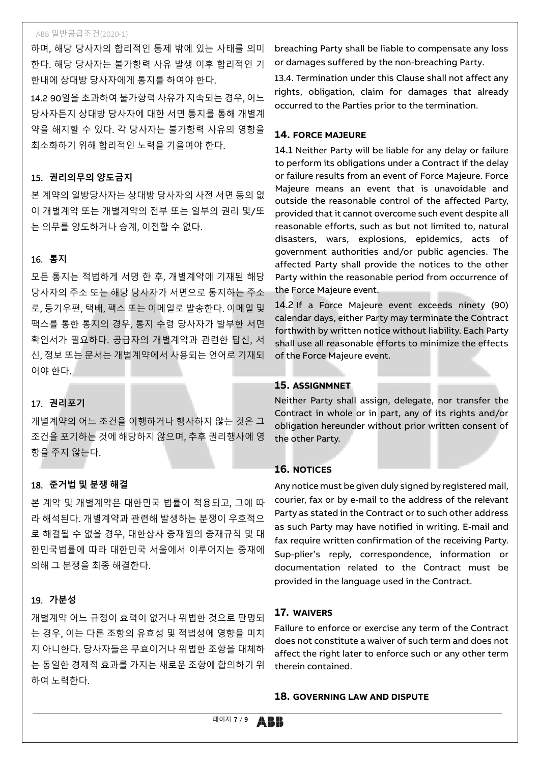하며, 해당 당사자의 합리적인 통제 밖에 있는 사태를 의미 한다. 해당 당사자는 불가항력 사유 발생 이후 합리적인 기 한내에 상대방 당사자에게 통지를 하여야 한다.

14.2 90일을 초과하여 불가항력 사유가 지속되는 경우, 어느 당사자든지 상대방 당사자에 대한 서면 통지를 통해 개별계 약을 해지할 수 있다. 각 당사자는 불가항력 사유의 영향을 최소화하기 위해 합리적인 노력을 기울여야 한다.

# 15. **권리의무의 양도금지**

본 계약의 일방당사자는 상대방 당사자의 사전 서면 동의 없 이 개별계약 또는 개별계약의 전부 또는 일부의 권리 및/또 는 의무를 양도하거나 승계, 이전할 수 없다.

# 16. **통지**

모든 통지는 적법하게 서명 한 후, 개별계약에 기재된 해당 당사자의 주소 또는 해당 당사자가 서면으로 통지하는 주소 로, 등기우편, 택배, 팩스 또는 이메일로 발송한다. 이메일 및 팩스를 통한 통지의 경우, 통지 수령 당사자가 발부한 서면 확인서가 필요하다. 공급자의 개별계약과 관련한 답신, 서 신, 정보 또는 문서는 개별계약에서 사용되는 언어로 기재되 어야 한다.

# 17. **권리포기**

개별계약의 어느 조건을 이행하거나 행사하지 않는 것은 그 조건을 포기하는 것에 해당하지 않으며, 추후 권리행사에 영 향을 주지 않는다.

# 18. **준거법 및 분쟁 해결**

본 계약 및 개별계약은 대한민국 법률이 적용되고, 그에 따 라 해석된다. 개별계약과 관련해 발생하는 분쟁이 우호적으 로 해결될 수 없을 경우, 대한상사 중재원의 중재규칙 및 대 한민국법률에 따라 대한민국 서울에서 이루어지는 중재에 의해 그 분쟁을 최종 해결한다.

# 19. **가분성**

개별계약 어느 규정이 효력이 없거나 위법한 것으로 판명되 는 경우, 이는 다른 조항의 유효성 및 적법성에 영향을 미치 지 아니한다. 당사자들은 무효이거나 위법한 조항을 대체하 는 동일한 경제적 효과를 가지는 새로운 조항에 합의하기 위 하여 노력한다.

breaching Party shall be liable to compensate any loss or damages suffered by the non-breaching Party.

13.4. Termination under this Clause shall not affect any rights, obligation, claim for damages that already occurred to the Parties prior to the termination.

# **14. FORCE MAJEURE**

14.1 Neither Party will be liable for any delay or failure to perform its obligations under a Contract if the delay or failure results from an event of Force Majeure. Force Majeure means an event that is unavoidable and outside the reasonable control of the affected Party, provided that it cannot overcome such event despite all reasonable efforts, such as but not limited to, natural disasters, wars, explosions, epidemics, acts of government authorities and/or public agencies. The affected Party shall provide the notices to the other Party within the reasonable period from occurrence of the Force Majeure event.

14.2 If a Force Majeure event exceeds ninety (90) calendar days, either Party may terminate the Contract forthwith by written notice without liability. Each Party shall use all reasonable efforts to minimize the effects of the Force Majeure event.

# **15. ASSIGNMNET**

Neither Party shall assign, delegate, nor transfer the Contract in whole or in part, any of its rights and/or obligation hereunder without prior written consent of the other Party.

#### **16. NOTICES**

Any notice must be given duly signed by registered mail, courier, fax or by e-mail to the address of the relevant Party as stated in the Contract or to such other address as such Party may have notified in writing. E-mail and fax require written confirmation of the receiving Party. Sup-plier's reply, correspondence, information or documentation related to the Contract must be provided in the language used in the Contract.

# **17. WAIVERS**

Failure to enforce or exercise any term of the Contract does not constitute a waiver of such term and does not affect the right later to enforce such or any other term therein contained.

#### **18. GOVERNING LAW AND DISPUTE**